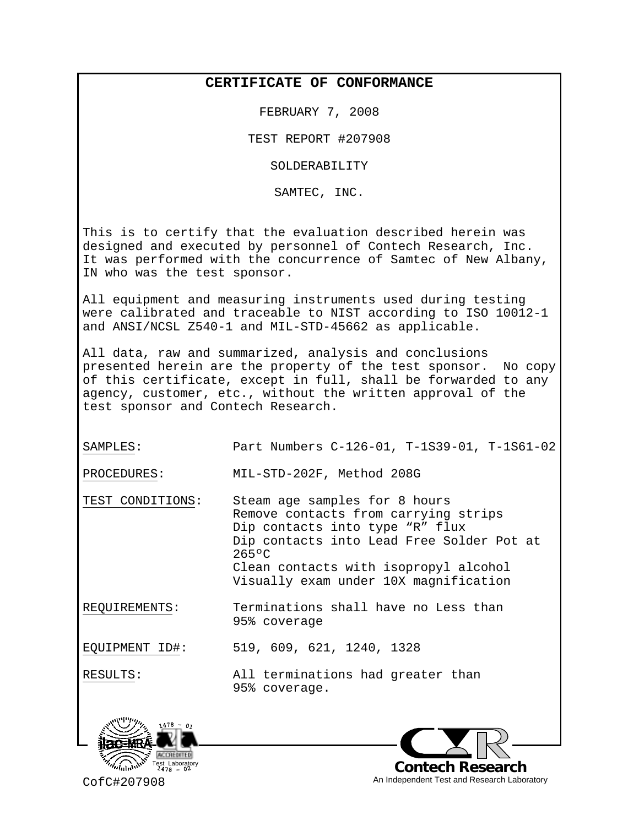## **CERTIFICATE OF CONFORMANCE**

FEBRUARY 7, 2008

TEST REPORT #207908

SOLDERABILITY

SAMTEC, INC.

This is to certify that the evaluation described herein was designed and executed by personnel of Contech Research, Inc. It was performed with the concurrence of Samtec of New Albany, IN who was the test sponsor.

All equipment and measuring instruments used during testing were calibrated and traceable to NIST according to ISO 10012-1 and ANSI/NCSL Z540-1 and MIL-STD-45662 as applicable.

All data, raw and summarized, analysis and conclusions presented herein are the property of the test sponsor. No copy of this certificate, except in full, shall be forwarded to any agency, customer, etc., without the written approval of the test sponsor and Contech Research.

SAMPLES: Part Numbers C-126-01, T-1S39-01, T-1S61-02

PROCEDURES: MIL-STD-202F, Method 208G

TEST CONDITIONS: Steam age samples for 8 hours Remove contacts from carrying strips Dip contacts into type "R" flux Dip contacts into Lead Free Solder Pot at 265ºC Clean contacts with isopropyl alcohol Visually exam under 10X magnification

REQUIREMENTS: Terminations shall have no Less than 95% coverage

EQUIPMENT ID#: 519, 609, 621, 1240, 1328

RESULTS: All terminations had greater than

95% coverage.





CofC#207908